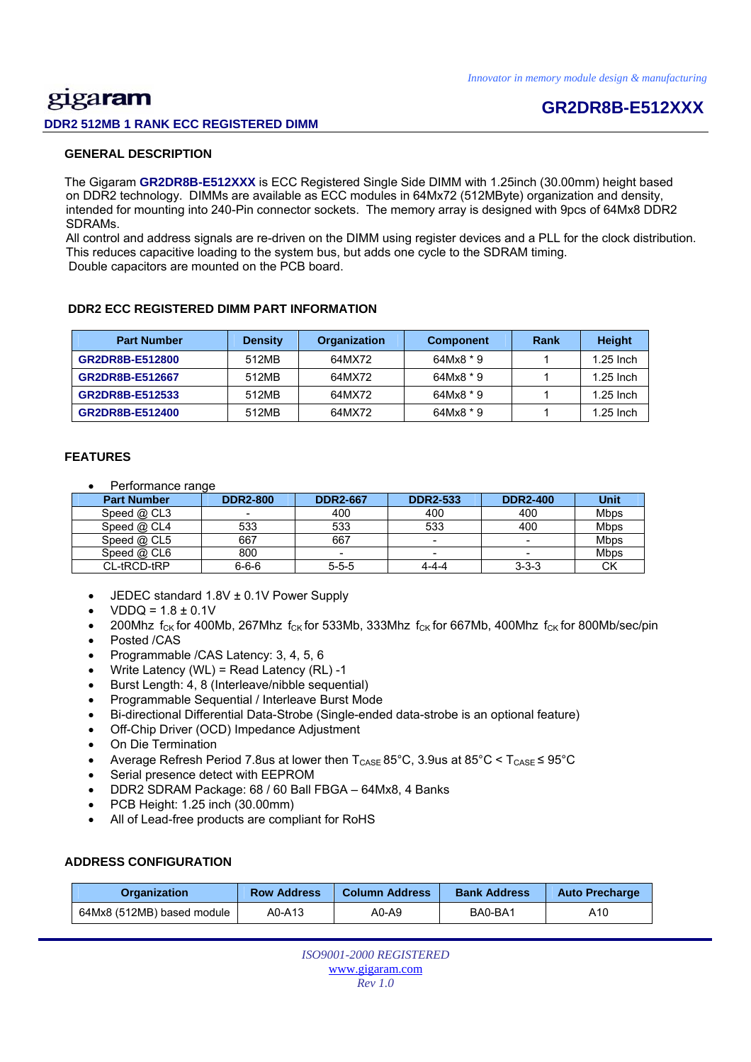# gigaram

**DDR2 512MB 1 RANK ECC REGISTERED DIMM** 

## **GR2DR8B-E512XXX**

### **GENERAL DESCRIPTION**

 The Gigaram **GR2DR8B-E512XXX** is ECC Registered Single Side DIMM with 1.25inch (30.00mm) height based on DDR2 technology. DIMMs are available as ECC modules in 64Mx72 (512MByte) organization and density, intended for mounting into 240-Pin connector sockets. The memory array is designed with 9pcs of 64Mx8 DDR2 SDRAMs.

 All control and address signals are re-driven on the DIMM using register devices and a PLL for the clock distribution. This reduces capacitive loading to the system bus, but adds one cycle to the SDRAM timing. Double capacitors are mounted on the PCB board.

### **DDR2 ECC REGISTERED DIMM PART INFORMATION**

| <b>Part Number</b> | <b>Density</b> | Organization | <b>Component</b> | Rank | <b>Height</b> |
|--------------------|----------------|--------------|------------------|------|---------------|
| GR2DR8B-E512800    | 512MB          | 64MX72       | 64Mx8 * 9        |      | $1.25$ lnch   |
| GR2DR8B-E512667    | 512MB          | 64MX72       | 64Mx8 * 9        |      | $1.25$ Inch   |
| GR2DR8B-E512533    | 512MB          | 64MX72       | 64Mx8 * 9        |      | $1.25$ Inch   |
| GR2DR8B-E512400    | 512MB          | 64MX72       | 64Mx8 * 9        |      | $1.25$ Inch   |

### **FEATURES**

Performance range

| <b>Part Number</b> | <b>DDR2-800</b> | <b>DDR2-667</b> | <b>DDR2-533</b>          | <b>DDR2-400</b>          | Unit        |
|--------------------|-----------------|-----------------|--------------------------|--------------------------|-------------|
| Speed $@$ CL3      |                 | 400             | 400                      | 400                      | <b>Mbps</b> |
| Speed $@$ CL4      | 533             | 533             | 533                      | 400                      | <b>Mbps</b> |
| Speed $@$ CL5      | 667             | 667             | -                        | $\overline{\phantom{0}}$ | <b>Mbps</b> |
| Speed $@$ CL6      | 800             | -               | $\overline{\phantom{a}}$ | $\overline{\phantom{a}}$ | <b>Mbps</b> |
| CL-tRCD-tRP        | $6 - 6 - 6$     | $5 - 5 - 5$     | 4-4-4                    | $3 - 3 - 3$              | СK          |

- JEDEC standard 1.8V ± 0.1V Power Supply
- $VDDQ = 1.8 \pm 0.1V$
- 200Mhz  $f_{CK}$  for 400Mb, 267Mhz  $f_{CK}$  for 533Mb, 333Mhz  $f_{CK}$  for 667Mb, 400Mhz  $f_{CK}$  for 800Mb/sec/pin
- Posted /CAS
- Programmable /CAS Latency: 3, 4, 5, 6
- Write Latency (WL) = Read Latency (RL) -1
- Burst Length: 4, 8 (Interleave/nibble sequential)
- Programmable Sequential / Interleave Burst Mode
- Bi-directional Differential Data-Strobe (Single-ended data-strobe is an optional feature)
- Off-Chip Driver (OCD) Impedance Adjustment
- On Die Termination
- Average Refresh Period 7.8us at lower then  $T_{\text{CASE}}$  85°C, 3.9us at 85°C <  $T_{\text{CASE}}$  ≤ 95°C
- Serial presence detect with EEPROM
- DDR2 SDRAM Package: 68 / 60 Ball FBGA 64Mx8, 4 Banks
- PCB Height: 1.25 inch (30.00mm)
- All of Lead-free products are compliant for RoHS

### **ADDRESS CONFIGURATION**

| <b>Organization</b>        | <b>Row Address</b> | <b>Column Address</b> | <b>Bank Address</b> | <b>Auto Precharge</b> |
|----------------------------|--------------------|-----------------------|---------------------|-----------------------|
| 64Mx8 (512MB) based module | A0-A13             | A0-A9                 | BA0-BA1             | A10                   |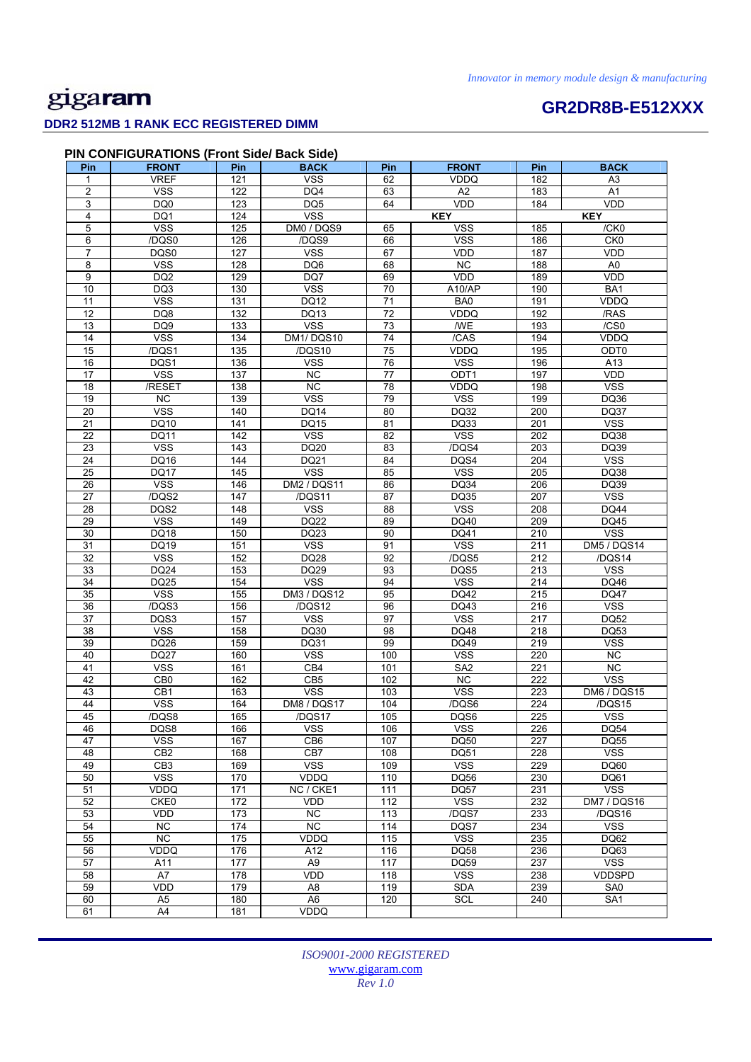# **GR2DR8B-E512XXX**

### **DDR2 512MB 1 RANK ECC REGISTERED DIMM**

### **PIN CONFIGURATIONS (Front Side/ Back Side)**

| Pin                     | <b>FRONT</b>                  | Pin                    | <b>BACK</b>           | Pin              | <b>FRONT</b>       | Pin              | <b>BACK</b>                 |
|-------------------------|-------------------------------|------------------------|-----------------------|------------------|--------------------|------------------|-----------------------------|
| 1                       | <b>VREF</b>                   | 121                    | <b>VSS</b>            | 62               | <b>VDDQ</b>        | 182              | A <sub>3</sub>              |
| $\overline{\mathbf{c}}$ | <b>VSS</b>                    | 122                    | DQ4                   | 63               | A <sub>2</sub>     | 183              | A <sub>1</sub>              |
| 3                       | DQ0                           | 123                    | DQ5                   | 64               | VDD                | 184              | VDD                         |
| 4                       | DQ1                           | 124                    | <b>VSS</b>            |                  | <b>KEY</b>         |                  | <b>KEY</b>                  |
| 5                       | <b>VSS</b>                    | 125                    | DM0 / DQS9            | 65               | <b>VSS</b>         | 185              | /CK0                        |
| 6                       | /DQS0                         | 126                    | /DQS9                 | 66               | <b>VSS</b>         | 186              | CKO                         |
| 7                       | DQS0                          | 127                    | <b>VSS</b>            | 67               | VDD                | 187              | <b>VDD</b>                  |
| 8                       | <b>VSS</b>                    | 128                    | DQ6                   | 68               | $\overline{NC}$    | 188              | A <sub>0</sub>              |
| 9                       | DQ <sub>2</sub>               | 129                    | DQ7                   | 69               | VDD                | 189              | VDD                         |
| 10                      | DQ3                           | 130                    | <b>VSS</b>            | 70               | A10/AP             | 190              | BA1                         |
| 11                      | <b>VSS</b>                    | 131                    | <b>DQ12</b>           | 71               | BA0                | 191              | VDDQ                        |
| $\overline{12}$         | DQ8                           | $\overline{132}$       | DQ13                  | $\overline{72}$  | VDDQ               | 192              | /RAS                        |
| 13                      | DQ9                           | 133                    | <b>VSS</b>            | 73               | <b>WE</b>          | 193              | /CS0                        |
| 14                      | <b>VSS</b>                    | 134                    | DM1/DQS10             | 74               | /CAS               | 194              | <b>VDDQ</b>                 |
| 15                      | /DQS1                         | 135                    | /DQS10                | 75               | VDDQ               | 195              | ODT0                        |
| 16                      | DQS1                          | 136                    | <b>VSS</b>            | 76               | <b>VSS</b>         | 196              | A13                         |
| 17                      | <b>VSS</b>                    | $\frac{1}{137}$        | $\overline{NC}$       | 77               | ODT <sub>1</sub>   | 197              | <b>VDD</b>                  |
| 18                      | /RESET                        | 138                    | NC                    | 78               | VDDQ               | 198              | <b>VSS</b>                  |
| 19                      | <b>NC</b>                     | 139                    | <b>VSS</b>            | 79               | <b>VSS</b>         | 199              | DQ36                        |
| 20                      | <b>VSS</b>                    | 140                    | DQ14                  | 80               | DQ32               | 200              | DQ37                        |
| 21                      | DQ10                          | 141                    | DQ15                  | 81               | DQ33               | 201              | <b>VSS</b>                  |
| $\overline{22}$         | <b>DQ11</b>                   | $\overline{142}$       | <b>VSS</b>            | $\overline{82}$  | <b>VSS</b>         | $\overline{202}$ | DQ38                        |
| 23                      | <b>VSS</b>                    | 143                    | DQ20                  | 83               | /DQS4              | 203              | DQ39                        |
| 24                      | DQ16                          | 144                    | DQ21                  | 84               | DQS4               | 204              | <b>VSS</b>                  |
| 25                      | <b>DQ17</b>                   | 145                    | <b>VSS</b>            | 85               | <b>VSS</b>         | 205              | DQ38                        |
| 26                      | <b>VSS</b>                    | 146                    | <b>DM2 / DQS11</b>    | 86               | <b>DQ34</b>        | 206              | DQ39                        |
| 27                      | /DQS2                         | 147                    | /DQS11                | 87               | DQ35               | 207              | <b>VSS</b>                  |
| 28                      | DQS2                          | 148                    | <b>VSS</b>            | 88               | <b>VSS</b>         | 208              | <b>DQ44</b>                 |
| 29                      | <b>VSS</b>                    | 149                    | DQ22                  | 89               | DQ40               | 209              | DQ45                        |
| 30                      | DQ18                          | 150                    | DQ23                  | 90               | <b>DQ41</b>        | 210              | <b>VSS</b>                  |
| 31                      | DQ19                          | 151                    | <b>VSS</b>            | 91               | <b>VSS</b>         | 211              | DM5 / DQS14                 |
| 32                      | <b>VSS</b>                    | 152                    | <b>DQ28</b>           | 92               | /DQS5              | 212              | /DQS14                      |
| 33                      | DQ24                          | 153                    | DQ29                  | 93               | DQS5               | 213              | <b>VSS</b>                  |
| 34                      | DQ25                          | 154                    | <b>VSS</b>            | 94               | <b>VSS</b>         | 214              | DQ46                        |
| 35                      | <b>VSS</b>                    | 155                    | DM3 / DQS12           | 95               | DQ42               | 215              | <b>DQ47</b>                 |
| 36                      | /DQS3                         | 156                    | /DQS12                | 96               | DQ43               | 216              | <b>VSS</b>                  |
| 37                      | DQS3                          | 157                    | <b>VSS</b>            | 97               | <b>VSS</b>         | 217              | <b>DQ52</b>                 |
| 38                      | <b>VSS</b>                    | 158                    | DQ30                  | 98               | <b>DQ48</b>        | 218              | DQ53                        |
| 39                      | DQ26                          | 159                    | DQ31                  | 99               | DQ49               | 219              | <b>VSS</b>                  |
| 40                      | <b>DQ27</b>                   | 160                    | <b>VSS</b>            | 100              | <b>VSS</b>         | 220              | <b>NC</b>                   |
| 41                      | <b>VSS</b>                    | 161                    | CB4                   | 101              | SA <sub>2</sub>    | 221              | <b>NC</b>                   |
| $\overline{42}$         | CB <sub>0</sub>               | 162                    | CB <sub>5</sub>       | 102              | NC                 | 222              | <b>VSS</b>                  |
| 43                      | CB1                           | 163                    | <b>VSS</b>            | 103              | <b>VSS</b>         | 223              | <b>DM6 / DQS15</b>          |
| 44                      | <b>VSS</b>                    | 164                    | DM8 / DQS17           | 104              | /DQS6              | 224              | $\overline{1DQ}$ S15        |
| 45                      | /DQS8                         | 165                    | /DQS17                | 105              | DQS6               | 225              | <b>VSS</b>                  |
| 46                      | DQS8                          | 166                    | <b>VSS</b>            | 106              | <b>VSS</b>         | 226              | <b>DQ54</b>                 |
| 47                      | <b>VSS</b>                    | 167                    | CB <sub>6</sub>       | 107              | <b>DQ50</b>        | 227              | <b>DQ55</b>                 |
| 48                      | CB <sub>2</sub>               | 168                    | CB7                   | 108              | DQ51               | 228              | $\overline{\text{VSS}}$     |
| 49                      | CB <sub>3</sub><br><b>VSS</b> | 169                    | <b>VSS</b>            | 109              | <b>VSS</b>         | 229              | DQ60                        |
| 50                      |                               | 170                    | VDDQ                  | 110              | <b>DQ56</b>        | 230              | DQ61                        |
| 51                      | VDDQ                          | $\frac{1}{171}$        | NC / CKE1             | $\frac{111}{11}$ | <b>DQ57</b>        | 231              | <b>VSS</b>                  |
| 52                      | CKE0<br>VDD                   | $\frac{1}{172}$<br>173 | VDD<br><b>NC</b>      | $\frac{1}{12}$   | <b>VSS</b>         | 232              | <b>DM7 / DQS16</b>          |
| 53                      |                               |                        |                       | 113              | /DQS7              | 233              | /DQS16                      |
| 54<br>55                | NC<br>NC                      | 174<br>175             | NC                    | 114<br>115       | DQS7<br><b>VSS</b> | 234<br>235       | <b>VSS</b><br>DQ62          |
|                         |                               |                        | VDDQ                  |                  |                    |                  |                             |
| 56                      | VDDQ                          | 176                    | A12                   | 116              | <b>DQ58</b>        | 236              | DQ63                        |
| 57<br>58                | A11<br>A7                     | 177<br>178             | A <sub>9</sub><br>VDD | 117<br>118       | DQ59<br><b>VSS</b> | 237<br>238       | <b>VSS</b><br><b>VDDSPD</b> |
| 59                      | VDD                           | 179                    | A <sub>8</sub>        | 119              | <b>SDA</b>         | 239              | SA0                         |
| 60                      | A <sub>5</sub>                | 180                    | A <sub>6</sub>        | 120              | <b>SCL</b>         | 240              | SA <sub>1</sub>             |
| 61                      | A4                            | 181                    | VDDQ                  |                  |                    |                  |                             |
|                         |                               |                        |                       |                  |                    |                  |                             |

*ISO9001-2000 REGISTERED*  www.gigaram.com *Rev 1.0*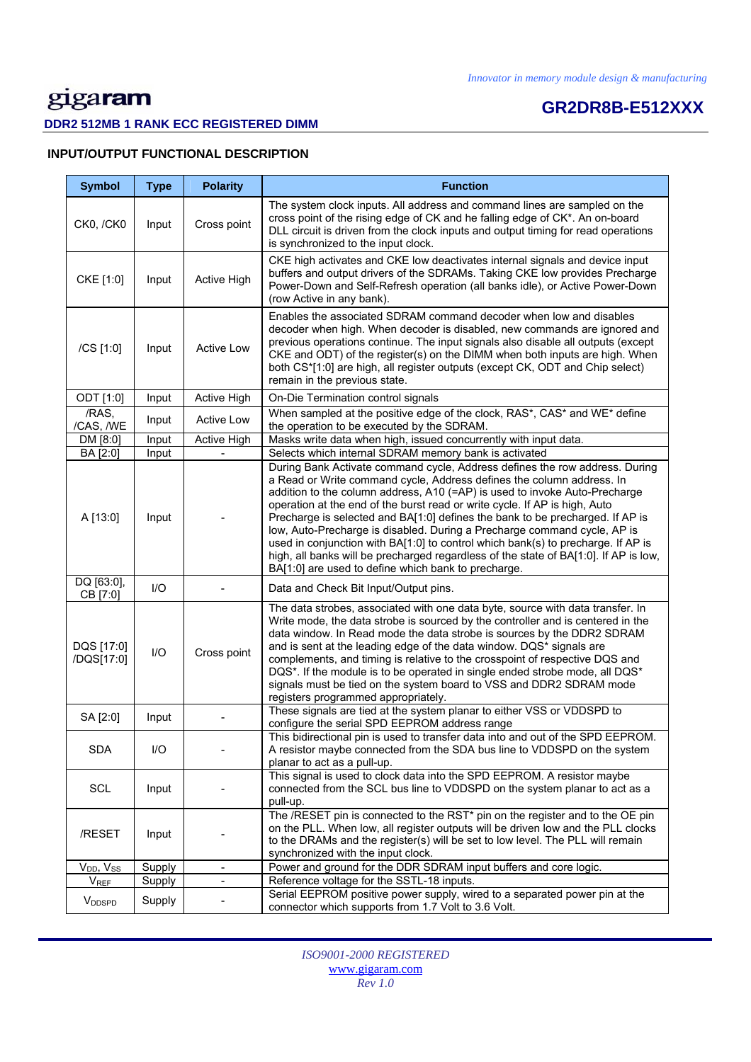# **GR2DR8B-E512XXX**

### **DDR2 512MB 1 RANK ECC REGISTERED DIMM**

### **INPUT/OUTPUT FUNCTIONAL DESCRIPTION**

| <b>Symbol</b>             | <b>Type</b> | <b>Polarity</b>              | <b>Function</b>                                                                                                                                                                                                                                                                                                                                                                                                                                                                                                                                                                                                                                                                                                  |
|---------------------------|-------------|------------------------------|------------------------------------------------------------------------------------------------------------------------------------------------------------------------------------------------------------------------------------------------------------------------------------------------------------------------------------------------------------------------------------------------------------------------------------------------------------------------------------------------------------------------------------------------------------------------------------------------------------------------------------------------------------------------------------------------------------------|
| CK0, /CK0                 | Input       | Cross point                  | The system clock inputs. All address and command lines are sampled on the<br>cross point of the rising edge of CK and he falling edge of CK*. An on-board<br>DLL circuit is driven from the clock inputs and output timing for read operations<br>is synchronized to the input clock.                                                                                                                                                                                                                                                                                                                                                                                                                            |
| CKE [1:0]                 | Input       | Active High                  | CKE high activates and CKE low deactivates internal signals and device input<br>buffers and output drivers of the SDRAMs. Taking CKE low provides Precharge<br>Power-Down and Self-Refresh operation (all banks idle), or Active Power-Down<br>(row Active in any bank).                                                                                                                                                                                                                                                                                                                                                                                                                                         |
| /CS [1:0]                 | Input       | <b>Active Low</b>            | Enables the associated SDRAM command decoder when low and disables<br>decoder when high. When decoder is disabled, new commands are ignored and<br>previous operations continue. The input signals also disable all outputs (except<br>CKE and ODT) of the register(s) on the DIMM when both inputs are high. When<br>both CS*[1:0] are high, all register outputs (except CK, ODT and Chip select)<br>remain in the previous state.                                                                                                                                                                                                                                                                             |
| ODT [1:0]                 | Input       | Active High                  | On-Die Termination control signals                                                                                                                                                                                                                                                                                                                                                                                                                                                                                                                                                                                                                                                                               |
| /RAS,<br>/CAS, /WE        | Input       | <b>Active Low</b>            | When sampled at the positive edge of the clock, RAS*, CAS* and WE* define<br>the operation to be executed by the SDRAM.                                                                                                                                                                                                                                                                                                                                                                                                                                                                                                                                                                                          |
| DM [8:0]                  | Input       | <b>Active High</b>           | Masks write data when high, issued concurrently with input data.                                                                                                                                                                                                                                                                                                                                                                                                                                                                                                                                                                                                                                                 |
| BA [2:0]                  | Input       |                              | Selects which internal SDRAM memory bank is activated                                                                                                                                                                                                                                                                                                                                                                                                                                                                                                                                                                                                                                                            |
| A [13:0]                  | Input       |                              | During Bank Activate command cycle, Address defines the row address. During<br>a Read or Write command cycle, Address defines the column address. In<br>addition to the column address, A10 (=AP) is used to invoke Auto-Precharge<br>operation at the end of the burst read or write cycle. If AP is high, Auto<br>Precharge is selected and BA[1:0] defines the bank to be precharged. If AP is<br>low, Auto-Precharge is disabled. During a Precharge command cycle, AP is<br>used in conjunction with BA[1:0] to control which bank(s) to precharge. If AP is<br>high, all banks will be precharged regardless of the state of BA[1:0]. If AP is low,<br>BA[1:0] are used to define which bank to precharge. |
| DQ [63:0],<br>CB [7:0]    | $II$        |                              | Data and Check Bit Input/Output pins.                                                                                                                                                                                                                                                                                                                                                                                                                                                                                                                                                                                                                                                                            |
| DQS [17:0]<br>/DQS[17:0]  | $UO$        | Cross point                  | The data strobes, associated with one data byte, source with data transfer. In<br>Write mode, the data strobe is sourced by the controller and is centered in the<br>data window. In Read mode the data strobe is sources by the DDR2 SDRAM<br>and is sent at the leading edge of the data window. DQS* signals are<br>complements, and timing is relative to the crosspoint of respective DQS and<br>DQS*. If the module is to be operated in single ended strobe mode, all DQS*<br>signals must be tied on the system board to VSS and DDR2 SDRAM mode<br>registers programmed appropriately.                                                                                                                  |
| SA [2:0]                  | Input       |                              | These signals are tied at the system planar to either VSS or VDDSPD to<br>configure the serial SPD EEPROM address range                                                                                                                                                                                                                                                                                                                                                                                                                                                                                                                                                                                          |
| <b>SDA</b>                | I/O         |                              | This bidirectional pin is used to transfer data into and out of the SPD EEPROM.<br>A resistor maybe connected from the SDA bus line to VDDSPD on the system<br>planar to act as a pull-up.                                                                                                                                                                                                                                                                                                                                                                                                                                                                                                                       |
| SCL                       | Input       |                              | This signal is used to clock data into the SPD EEPROM. A resistor maybe<br>connected from the SCL bus line to VDDSPD on the system planar to act as a<br>pull-up.                                                                                                                                                                                                                                                                                                                                                                                                                                                                                                                                                |
| /RESET                    | Input       |                              | The /RESET pin is connected to the RST* pin on the register and to the OE pin<br>on the PLL. When low, all register outputs will be driven low and the PLL clocks<br>to the DRAMs and the register(s) will be set to low level. The PLL will remain<br>synchronized with the input clock.                                                                                                                                                                                                                                                                                                                                                                                                                        |
| $V_{DD}$ , $V_{SS}$       | Supply      | $\blacksquare$               | Power and ground for the DDR SDRAM input buffers and core logic.                                                                                                                                                                                                                                                                                                                                                                                                                                                                                                                                                                                                                                                 |
| <b>VREF</b>               | Supply      | $\qquad \qquad \blacksquare$ | Reference voltage for the SSTL-18 inputs.                                                                                                                                                                                                                                                                                                                                                                                                                                                                                                                                                                                                                                                                        |
| <b>V</b> <sub>DDSPD</sub> | Supply      |                              | Serial EEPROM positive power supply, wired to a separated power pin at the<br>connector which supports from 1.7 Volt to 3.6 Volt.                                                                                                                                                                                                                                                                                                                                                                                                                                                                                                                                                                                |

*ISO9001-2000 REGISTERED*  www.gigaram.com *Rev 1.0*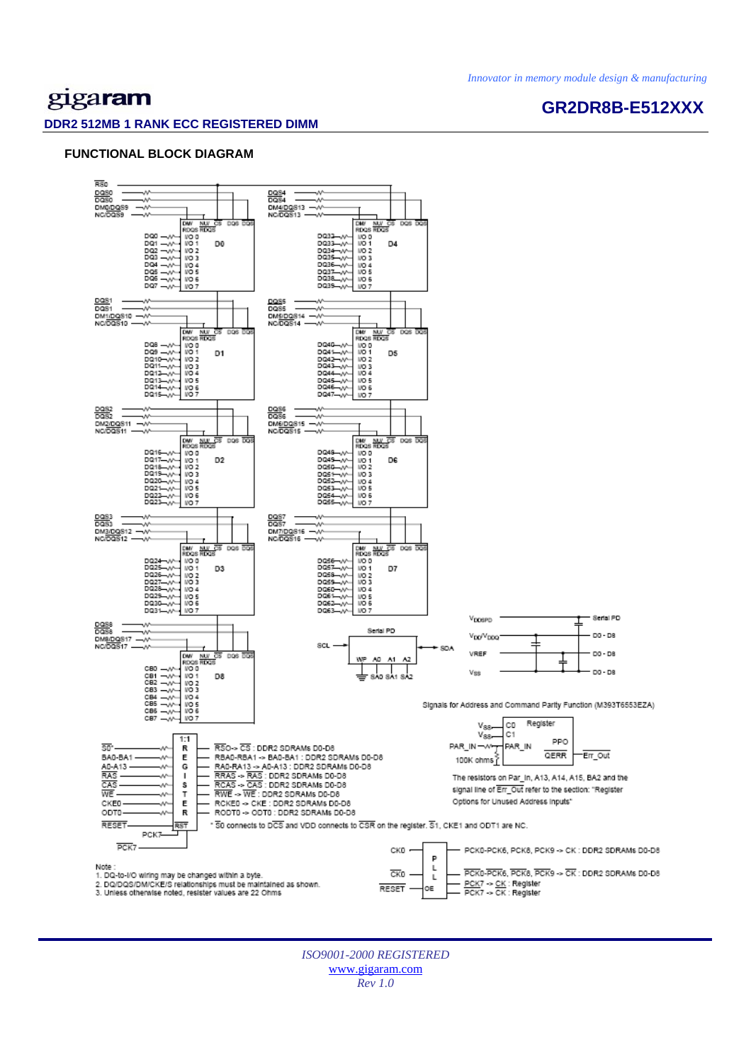## gigaram

### **GR2DR8B-E512XXX**

### **DDR2 512MB 1 RANK ECC REGISTERED DIMM**

### **FUNCTIONAL BLOCK DIAGRAM**



*ISO9001-2000 REGISTERED*  www.gigaram.com *Rev 1.0*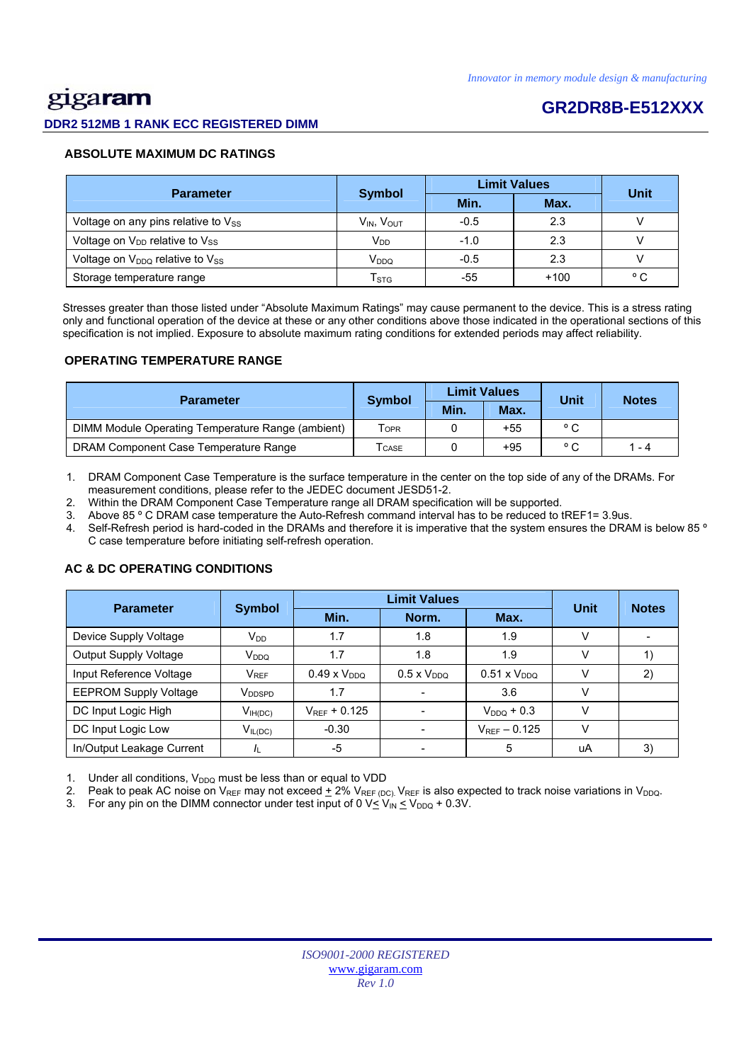## <u>gig</u>aram

### **DDR2 512MB 1 RANK ECC REGISTERED DIMM**

## **GR2DR8B-E512XXX**

### **ABSOLUTE MAXIMUM DC RATINGS**

| <b>Parameter</b>                                       |                      | <b>Limit Values</b> | Unit   |              |
|--------------------------------------------------------|----------------------|---------------------|--------|--------------|
|                                                        | <b>Symbol</b>        | Min.                | Max.   |              |
| Voltage on any pins relative to Vss                    | $V_{IN}$ , $V_{OUT}$ | $-0.5$              | 2.3    |              |
| Voltage on V <sub>DD</sub> relative to V <sub>SS</sub> | V <sub>DD</sub>      | $-1.0$              | 2.3    |              |
| Voltage on $V_{DDQ}$ relative to $V_{SS}$              | V <sub>DDQ</sub>     | $-0.5$              | 2.3    |              |
| Storage temperature range                              | T <sub>STG</sub>     | -55                 | $+100$ | $^{\circ}$ C |

 Stresses greater than those listed under "Absolute Maximum Ratings" may cause permanent to the device. This is a stress rating only and functional operation of the device at these or any other conditions above those indicated in the operational sections of this specification is not implied. Exposure to absolute maximum rating conditions for extended periods may affect reliability.

### **OPERATING TEMPERATURE RANGE**

| <b>Parameter</b>                                  |                  |      | <b>Limit Values</b> | Unit           | <b>Notes</b> |  |
|---------------------------------------------------|------------------|------|---------------------|----------------|--------------|--|
|                                                   | <b>Symbol</b>    | Min. | Max.                |                |              |  |
| DIMM Module Operating Temperature Range (ambient) | T <sub>OPR</sub> |      | $+55$               | $^{\circ}$ C   |              |  |
| DRAM Component Case Temperature Range             | <b>CASE</b>      |      | $+95$               | $\circ$ $\sim$ | 1 - 4        |  |

1. DRAM Component Case Temperature is the surface temperature in the center on the top side of any of the DRAMs. For measurement conditions, please refer to the JEDEC document JESD51-2.

2. Within the DRAM Component Case Temperature range all DRAM specification will be supported.

3. Above 85 º C DRAM case temperature the Auto-Refresh command interval has to be reduced to tREF1= 3.9us.

4. Self-Refresh period is hard-coded in the DRAMs and therefore it is imperative that the system ensures the DRAM is below 85 º C case temperature before initiating self-refresh operation.

### Parameter Symbol **Definit Values**<br>Min. Norm. Max. **Unit Notes**  Device Supply Voltage  $V_{DD}$   $V_{DD}$  1.7  $1.8$  1.8 1.9 V Output Supply Voltage VDDQ 1.7 1.8 1.9 V 1) Input Reference Voltage  $V_{REF}$  0.49 x V<sub>DDQ</sub> 0.5 x V<sub>DDQ</sub> 0.51 x V<sub>DDQ</sub> V 2) EEPROM Supply Voltage VDDSPD 1.7 - 3.6 V DC Input Logic High  $V_{\text{H(DC)}}$   $V_{\text{REF}}$  + 0.125  $\vert$  -  $V_{\text{DDQ}}$  + 0.3  $\vert$  V DC Input Logic Low  $V_{IL(DC)}$   $-0.30$   $-V_{REF} - 0.125$  V In/Output Leakage Current |  $I_L$  | -5 | - | 5 | uA | 3)

### **AC & DC OPERATING CONDITIONS**

Under all conditions,  $V_{DDQ}$  must be less than or equal to VDD

2. Peak to peak AC noise on V<sub>REF</sub> may not exceed  $\pm$  2% V<sub>REF (DC)</sub>. V<sub>REF</sub> is also expected to track noise variations in V<sub>DDQ</sub>.

3. For any pin on the DIMM connector under test input of 0  $V \leq V_{IN} \leq V_{DDQ} + 0.3V$ .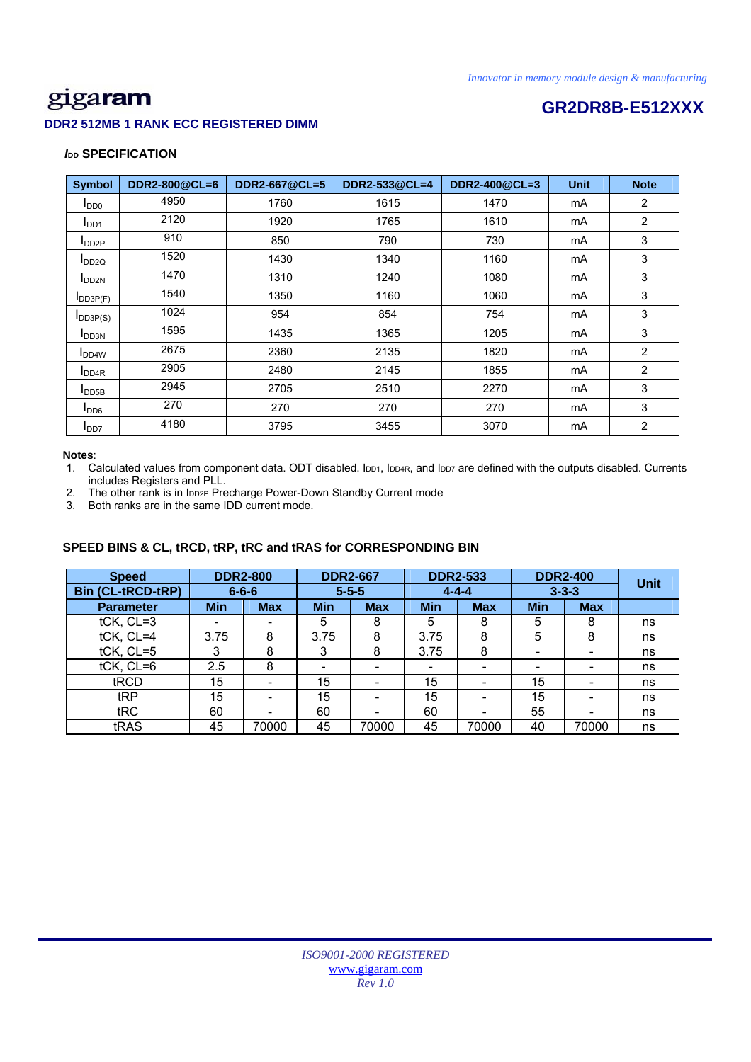### **DDR2 512MB 1 RANK ECC REGISTERED DIMM**

# **CONSERVISTION CONSERVERSIZE CONSERVERS**<br> **GR2DR8B-E512XXX**

### *I***<sub>DD</sub> SPECIFICATION**

| <b>Symbol</b>              | DDR2-800@CL=6 | DDR2-667@CL=5 | DDR2-533@CL=4 | DDR2-400@CL=3 | <b>Unit</b> | <b>Note</b>    |
|----------------------------|---------------|---------------|---------------|---------------|-------------|----------------|
| I <sub>DD0</sub>           | 4950          | 1760          | 1615          | 1470          | mA          | 2              |
| I <sub>DD1</sub>           | 2120          | 1920          | 1765          | 1610          | mA          | $\overline{2}$ |
| $I_{DD2P}$                 | 910           | 850           | 790           | 730           | mA          | 3              |
| $I_{DD2Q}$                 | 1520          | 1430          | 1340          | 1160          | mA          | 3              |
| $I_{DD2N}$                 | 1470          | 1310          | 1240          | 1080          | mA          | 3              |
| $I$ <sub>DD3P(F)</sub>     | 1540          | 1350          | 1160          | 1060          | mA          | 3              |
| $I_{DD3P(S)}$              | 1024          | 954           | 854           | 754           | mA          | 3              |
| <b>I</b> DD3N              | 1595          | 1435          | 1365          | 1205          | mA          | 3              |
| <b>I</b> DD <sub>4</sub> W | 2675          | 2360          | 2135          | 1820          | mA          | 2              |
| I <sub>DD4R</sub>          | 2905          | 2480          | 2145          | 1855          | mA          | 2              |
| $I_{\text{DDB}}$           | 2945          | 2705          | 2510          | 2270          | mA          | 3              |
| I <sub>DD6</sub>           | 270           | 270           | 270           | 270           | mA          | 3              |
| I <sub>DD7</sub>           | 4180          | 3795          | 3455          | 3070          | mA          | $\overline{2}$ |

### **Notes**:

1. Calculated values from component data. ODT disabled. IDD1, IDD4R, and IDD7 are defined with the outputs disabled. Currents includes Registers and PLL.

2. The other rank is in IDD2P Precharge Power-Down Standby Current mode

3. Both ranks are in the same IDD current mode.

### **SPEED BINS & CL, tRCD, tRP, tRC and tRAS for CORRESPONDING BIN**

| <b>Speed</b>             |            | <b>DDR2-800</b>          |                          | <b>DDR2-667</b> | <b>DDR2-533</b>          |            | <b>DDR2-400</b>          | <b>Unit</b> |    |
|--------------------------|------------|--------------------------|--------------------------|-----------------|--------------------------|------------|--------------------------|-------------|----|
| <b>Bin (CL-tRCD-tRP)</b> |            | $6 - 6 - 6$              | $5 - 5 - 5$              |                 | $4 - 4 - 4$              |            | $3 - 3 - 3$              |             |    |
| <b>Parameter</b>         | <b>Min</b> | <b>Max</b>               | <b>Min</b>               | <b>Max</b>      | <b>Min</b>               | <b>Max</b> | <b>Min</b>               | <b>Max</b>  |    |
| tCK, CL=3                | -          |                          | 5                        | 8               | 5                        | 8          | 5                        | 8           | ns |
| tCK, CL=4                | 3.75       | 8                        | 3.75                     | 8               | 3.75                     | 8          | 5                        | 8           | ns |
| tCK, CL=5                | 3          | 8                        | 3                        | 8               | 3.75                     | 8          | $\overline{\phantom{0}}$ |             | ns |
| tCK, CL=6                | 2.5        | 8                        | $\overline{\phantom{0}}$ |                 | $\overline{\phantom{0}}$ |            | -                        |             | ns |
| tRCD                     | 15         | $\overline{\phantom{0}}$ | 15                       | -               | 15                       |            | 15                       |             | ns |
| tRP                      | 15         |                          | 15                       |                 | 15                       |            | 15                       |             | ns |
| tRC                      | 60         |                          | 60                       |                 | 60                       |            | 55                       |             | ns |
| tRAS                     | 45         | 70000                    | 45                       | 70000           | 45                       | 70000      | 40                       | 70000       | ns |